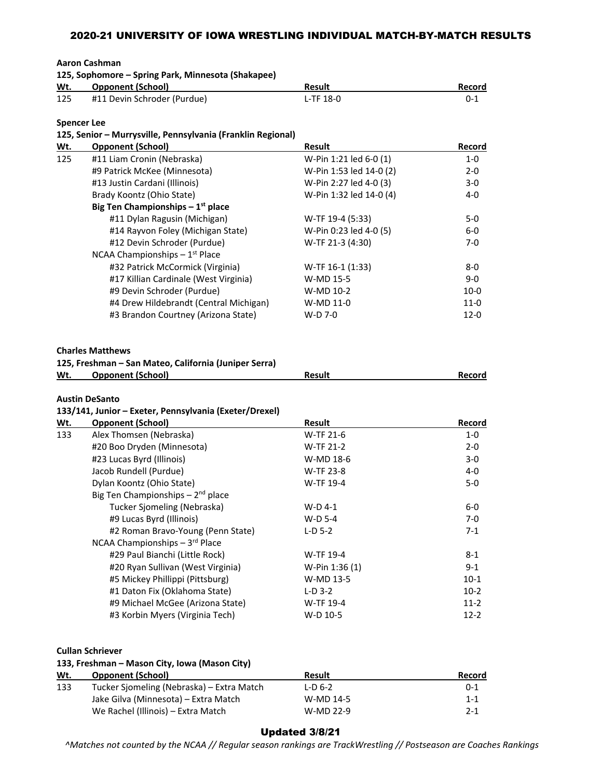**Aaron Cashman**

|     | 125, Sophomore – Spring Park, Minnesota (Shakapee) |           |        |  |  |
|-----|----------------------------------------------------|-----------|--------|--|--|
| Wt. | <b>Opponent (School)</b>                           | Result    | Record |  |  |
| 125 | #11 Devin Schroder (Purdue)                        | L-TF 18-0 | 0-1    |  |  |

### **Spencer Lee**

### **125, Senior – Murrysville, Pennsylvania (Franklin Regional)**

| Wt. | <b>Opponent (School)</b>                                                                                     | <b>Result</b>           | Record           |
|-----|--------------------------------------------------------------------------------------------------------------|-------------------------|------------------|
| 125 | #11 Liam Cronin (Nebraska)                                                                                   | W-Pin 1:21 led 6-0 (1)  | $1-0$            |
|     | #9 Patrick McKee (Minnesota)                                                                                 | W-Pin 1:53 led 14-0 (2) | $2 - 0$          |
|     | #13 Justin Cardani (Illinois)                                                                                | W-Pin 2:27 led 4-0 (3)  | $3-0$            |
|     | Brady Koontz (Ohio State)                                                                                    | W-Pin 1:32 led 14-0 (4) | 4-0              |
|     | Big Ten Championships $-1st$ place                                                                           |                         |                  |
|     | #11 Dylan Ragusin (Michigan)                                                                                 | W-TF 19-4 (5:33)        | $5-0$            |
|     | #14 Rayvon Foley (Michigan State)                                                                            | W-Pin 0:23 led 4-0 (5)  | $6-0$            |
|     | #12 Devin Schroder (Purdue)                                                                                  | W-TF 21-3 (4:30)        | $7 - 0$          |
|     | NCAA Championships $-1st$ Place                                                                              |                         |                  |
|     | #32 Patrick McCormick (Virginia)                                                                             | W-TF 16-1 (1:33)        | $8-0$            |
|     | #17 Killian Cardinale (West Virginia)                                                                        | W-MD 15-5               | $9-0$            |
|     | #9 Devin Schroder (Purdue)                                                                                   | W-MD 10-2               | $10-0$           |
|     | #4 Drew Hildebrandt (Central Michigan)                                                                       | W-MD 11-0               | $11-0$           |
|     | #3 Brandon Courtney (Arizona State)                                                                          | W-D 7-0                 | $12 - 0$         |
| Wt. | <b>Charles Matthews</b><br>125, Freshman - San Mateo, California (Juniper Serra)<br><b>Opponent (School)</b> | <b>Result</b>           | Record           |
|     | <b>Austin DeSanto</b><br>133/141, Junior - Exeter, Pennsylvania (Exeter/Drexel)                              |                         |                  |
| Wt. | <b>Opponent (School)</b>                                                                                     | <b>Result</b>           | Record           |
| 133 | Alex Thomsen (Nebraska)                                                                                      | W-TF 21-6               | $1-0$            |
|     | #20 Boo Dryden (Minnesota)                                                                                   | W-TF 21-2               | $2 - 0$          |
|     | #23 Lucas Byrd (Illinois)                                                                                    | W-MD 18-6               | $3-0$            |
|     | Jacob Rundell (Purdue)                                                                                       | W-TF 23-8               | 4-0              |
|     | Dylan Koontz (Ohio State)                                                                                    | W-TF 19-4               | $5-0$            |
|     | Big Ten Championships $-2^{nd}$ place                                                                        |                         |                  |
|     | Tucker Sjomeling (Nebraska)                                                                                  | $W-D$ 4-1               | $6-0$            |
|     | #9 Lucas Byrd (Illinois)<br>#2 Roman Bravo-Young (Penn State)                                                | W-D 5-4                 | $7 - 0$<br>$7-1$ |
|     |                                                                                                              | $L-D$ 5-2               |                  |
|     | NCAA Championships - 3rd Place                                                                               |                         | $8 - 1$          |
|     | #29 Paul Bianchi (Little Rock)                                                                               | W-TF 19-4               |                  |
|     | #20 Ryan Sullivan (West Virginia)                                                                            | W-Pin 1:36 (1)          | $9 - 1$          |
|     | #5 Mickey Phillippi (Pittsburg)                                                                              | W-MD 13-5               | $10-1$           |
|     | #1 Daton Fix (Oklahoma State)                                                                                | $L-D$ 3-2               | $10-2$           |
|     | #9 Michael McGee (Arizona State)                                                                             | W-TF 19-4<br>W-D 10-5   | $11-2$<br>$12-2$ |
|     | #3 Korbin Myers (Virginia Tech)                                                                              |                         |                  |

**Cullan Schriever**

### **133, Freshman – Mason City, Iowa (Mason City)**

| Wt. | <b>Opponent (School)</b>                  | Result    | <b>Record</b> |
|-----|-------------------------------------------|-----------|---------------|
| 133 | Tucker Sjomeling (Nebraska) – Extra Match | $L-D$ 6-2 | $0 - 1$       |
|     | Jake Gilva (Minnesota) – Extra Match      | W-MD 14-5 | 1-1           |
|     | We Rachel (Illinois) – Extra Match        | W-MD 22-9 | $2 - 1$       |

### Updated 3/8/21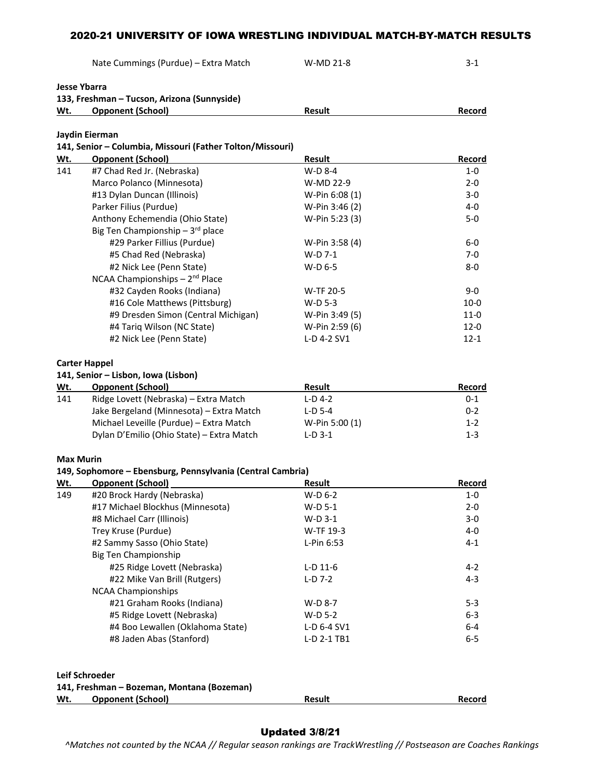Nate Cummings (Purdue) – Extra Match W-MD 21-8 3-1

|                  | <b>Jesse Ybarra</b>                                          |                |          |
|------------------|--------------------------------------------------------------|----------------|----------|
|                  | 133, Freshman - Tucson, Arizona (Sunnyside)                  |                |          |
| Wt.              | <b>Opponent (School)</b>                                     | <b>Result</b>  | Record   |
|                  | Jaydin Eierman                                               |                |          |
|                  | 141, Senior - Columbia, Missouri (Father Tolton/Missouri)    |                |          |
| Wt.              | <b>Opponent (School)</b>                                     | <b>Result</b>  | Record   |
| 141              | #7 Chad Red Jr. (Nebraska)                                   | W-D 8-4        | 1-0      |
|                  | Marco Polanco (Minnesota)                                    | W-MD 22-9      | $2 - 0$  |
|                  | #13 Dylan Duncan (Illinois)                                  | W-Pin 6:08 (1) | $3-0$    |
|                  | Parker Filius (Purdue)                                       | W-Pin 3:46 (2) | 4-0      |
|                  | Anthony Echemendia (Ohio State)                              | W-Pin 5:23 (3) | $5-0$    |
|                  | Big Ten Championship - 3rd place                             |                |          |
|                  | #29 Parker Fillius (Purdue)                                  | W-Pin 3:58 (4) | $6-0$    |
|                  | #5 Chad Red (Nebraska)                                       | W-D 7-1        | $7-0$    |
|                  | #2 Nick Lee (Penn State)                                     | W-D 6-5        | $8-0$    |
|                  | NCAA Championships - 2 <sup>nd</sup> Place                   |                |          |
|                  | #32 Cayden Rooks (Indiana)                                   | W-TF 20-5      | $9-0$    |
|                  | #16 Cole Matthews (Pittsburg)                                | W-D 5-3        | $10-0$   |
|                  | #9 Dresden Simon (Central Michigan)                          | W-Pin 3:49 (5) | $11-0$   |
|                  | #4 Tariq Wilson (NC State)                                   | W-Pin 2:59 (6) | $12 - 0$ |
|                  | #2 Nick Lee (Penn State)                                     | L-D 4-2 SV1    | $12 - 1$ |
|                  | <b>Carter Happel</b>                                         |                |          |
|                  | 141, Senior - Lisbon, Iowa (Lisbon)                          |                |          |
| Wt.              | <b>Opponent (School)</b>                                     | <b>Result</b>  | Record   |
| 141              | Ridge Lovett (Nebraska) - Extra Match                        | $L-D$ 4-2      | $0-1$    |
|                  | Jake Bergeland (Minnesota) - Extra Match                     | $L-D$ 5-4      | $0 - 2$  |
|                  | Michael Leveille (Purdue) - Extra Match                      | W-Pin 5:00 (1) | $1 - 2$  |
|                  | Dylan D'Emilio (Ohio State) - Extra Match                    | $L-D$ 3-1      | $1 - 3$  |
| <b>Max Murin</b> |                                                              |                |          |
|                  | 149, Sophomore - Ebensburg, Pennsylvania (Central Cambria)   |                |          |
| Wt.              | <b>Opponent (School)</b>                                     | <b>Result</b>  | Record   |
| 149              | #20 Brock Hardy (Nebraska)                                   | $W-D$ 6-2      | 1-0      |
|                  | #17 Michael Blockhus (Minnesota)                             | $W-D$ 5-1      | $2 - 0$  |
|                  | #8 Michael Carr (Illinois)                                   | W-D 3-1        | 3-0      |
|                  | Trey Kruse (Purdue)                                          | W-TF 19-3      | 4-0      |
|                  | #2 Sammy Sasso (Ohio State)                                  | L-Pin 6:53     | $4 - 1$  |
|                  | <b>Big Ten Championship</b>                                  |                |          |
|                  | #25 Ridge Lovett (Nebraska)                                  | $L-D$ 11-6     | 4-2      |
|                  | #22 Mike Van Brill (Rutgers)                                 | $L-D$ 7-2      | $4 - 3$  |
|                  | <b>NCAA Championships</b>                                    |                |          |
|                  | #21 Graham Rooks (Indiana)                                   | W-D 8-7        | $5 - 3$  |
|                  | #5 Ridge Lovett (Nebraska)                                   | W-D 5-2        | $6 - 3$  |
|                  | #4 Boo Lewallen (Oklahoma State)                             | L-D 6-4 SV1    | 6-4      |
|                  | #8 Jaden Abas (Stanford)                                     | L-D 2-1 TB1    | $6-5$    |
|                  |                                                              |                |          |
|                  | Leif Schroeder<br>141, Freshman - Bozeman, Montana (Bozeman) |                |          |
| Wt.              | <b>Opponent (School)</b>                                     | <b>Result</b>  | Record   |

# Updated 3/8/21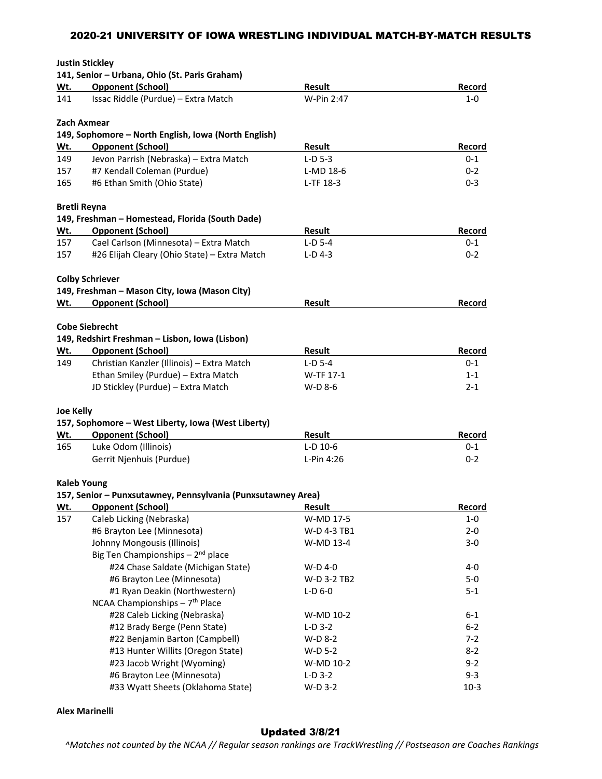|                  | <b>Justin Stickley</b>                                       |               |         |
|------------------|--------------------------------------------------------------|---------------|---------|
|                  | 141, Senior - Urbana, Ohio (St. Paris Graham)                |               |         |
| Wt.              | <b>Opponent (School)</b>                                     | <b>Result</b> | Record  |
| 141              | Issac Riddle (Purdue) - Extra Match                          | W-Pin 2:47    | 1-0     |
|                  | <b>Zach Axmear</b>                                           |               |         |
|                  | 149, Sophomore - North English, Iowa (North English)         |               |         |
| Wt.              | <b>Opponent (School)</b>                                     | Result        | Record  |
| 149              | Jevon Parrish (Nebraska) - Extra Match                       | $L-D$ 5-3     | 0-1     |
| 157              | #7 Kendall Coleman (Purdue)                                  | L-MD 18-6     | $0 - 2$ |
| 165              | #6 Ethan Smith (Ohio State)                                  | L-TF 18-3     | $0 - 3$ |
|                  | <b>Bretli Reyna</b>                                          |               |         |
|                  | 149, Freshman - Homestead, Florida (South Dade)              |               |         |
| Wt.              | <b>Opponent (School)</b>                                     | Result        | Record  |
| 157              | Cael Carlson (Minnesota) - Extra Match                       | $L-D$ 5-4     | $0 - 1$ |
| 157              | #26 Elijah Cleary (Ohio State) - Extra Match                 | $L-D$ 4-3     | $0 - 2$ |
|                  | <b>Colby Schriever</b>                                       |               |         |
|                  | 149, Freshman - Mason City, Iowa (Mason City)                |               |         |
| Wt.              | <b>Opponent (School)</b>                                     | Result        | Record  |
|                  |                                                              |               |         |
|                  | <b>Cobe Siebrecht</b>                                        |               |         |
|                  | 149, Redshirt Freshman - Lisbon, Iowa (Lisbon)               |               |         |
| Wt.              | <b>Opponent (School)</b>                                     | Result        | Record  |
| 149              | Christian Kanzler (Illinois) - Extra Match                   | $L-D$ 5-4     | $0 - 1$ |
|                  | Ethan Smiley (Purdue) - Extra Match                          | W-TF 17-1     | $1 - 1$ |
|                  | JD Stickley (Purdue) - Extra Match                           | W-D 8-6       | $2 - 1$ |
| <b>Joe Kelly</b> |                                                              |               |         |
|                  | 157, Sophomore - West Liberty, Iowa (West Liberty)           |               |         |
| <u>Wt.</u>       | <b>Opponent (School)</b>                                     | <b>Result</b> | Record  |
| 165              | Luke Odom (Illinois)                                         | $L-D$ 10-6    | 0-1     |
|                  | Gerrit Njenhuis (Purdue)                                     | L-Pin 4:26    | $0 - 2$ |
|                  | <b>Kaleb Young</b>                                           |               |         |
|                  | 157, Senior - Punxsutawney, Pennsylvania (Punxsutawney Area) |               |         |
| Wt.              | <b>Opponent (School)</b>                                     | Result        | Record  |
| 157              | Caleb Licking (Nebraska)                                     | W-MD 17-5     | $1-0$   |
|                  | #6 Brayton Lee (Minnesota)                                   | W-D 4-3 TB1   | $2 - 0$ |
|                  | Johnny Mongousis (Illinois)                                  | W-MD 13-4     | $3-0$   |
|                  | Big Ten Championships - 2 <sup>nd</sup> place                |               |         |
|                  | #24 Chase Saldate (Michigan State)                           | W-D 4-0       | $4 - 0$ |
|                  | #6 Brayton Lee (Minnesota)                                   | W-D 3-2 TB2   | $5-0$   |
|                  | #1 Ryan Deakin (Northwestern)                                | $L-D$ 6-0     | $5 - 1$ |
|                  | NCAA Championships - 7 <sup>th</sup> Place                   |               |         |
|                  | #28 Caleb Licking (Nebraska)                                 | W-MD 10-2     | $6 - 1$ |
|                  | #12 Brady Berge (Penn State)                                 | $L-D$ 3-2     | $6 - 2$ |
|                  | #22 Benjamin Barton (Campbell)                               | W-D 8-2       | $7 - 2$ |
|                  | #13 Hunter Willits (Oregon State)                            | W-D 5-2       | $8 - 2$ |
|                  | #23 Jacob Wright (Wyoming)                                   | W-MD 10-2     | $9 - 2$ |
|                  | #6 Brayton Lee (Minnesota)                                   | $L-D$ 3-2     | $9 - 3$ |
|                  | #33 Wyatt Sheets (Oklahoma State)                            | W-D 3-2       | $10-3$  |

## **Alex Marinelli**

# Updated 3/8/21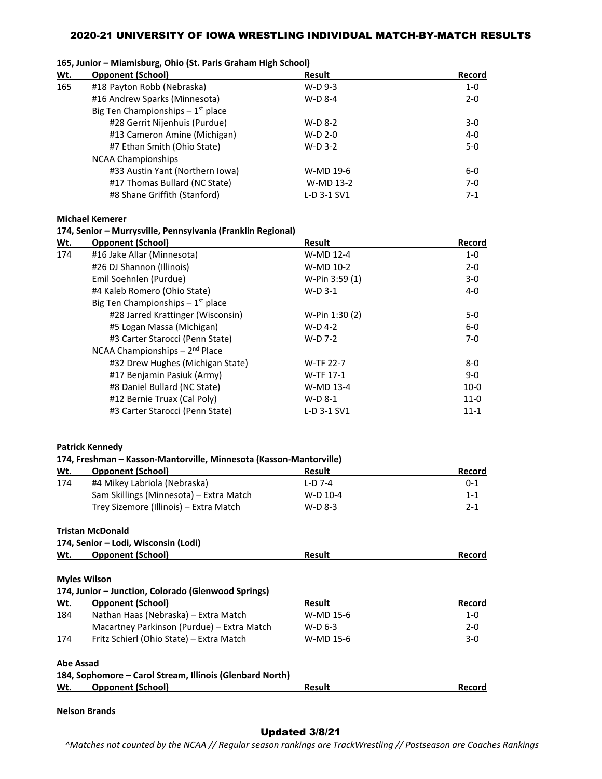|     | 100, Junior – Milamisburg, Onio (St. Paris Granam High School) |           |         |  |  |
|-----|----------------------------------------------------------------|-----------|---------|--|--|
| Wt. | <b>Opponent (School)</b>                                       | Result    | Record  |  |  |
| 165 | #18 Payton Robb (Nebraska)                                     | $W-D$ 9-3 | 1-0     |  |  |
|     | #16 Andrew Sparks (Minnesota)                                  | $W-D$ 8-4 | $2 - 0$ |  |  |
|     | Big Ten Championships $-1st$ place                             |           |         |  |  |

# **165, Junior – Miamisburg, Ohio (St. Paris Graham High School)**

| #16 Andrew Sparks (Minnesota)         | $W-D$ 8-4   | $2 - 0$ |
|---------------------------------------|-------------|---------|
| Big Ten Championships $-1^{st}$ place |             |         |
| #28 Gerrit Nijenhuis (Purdue)         | $W-D$ 8-2   | $3-0$   |
| #13 Cameron Amine (Michigan)          | $W-D 2-0$   | 4-0     |
| #7 Ethan Smith (Ohio State)           | $W-D$ 3-2   | $5-0$   |
| <b>NCAA Championships</b>             |             |         |
| #33 Austin Yant (Northern Iowa)       | W-MD 19-6   | 6-0     |
| #17 Thomas Bullard (NC State)         | W-MD 13-2   | $7-0$   |
| #8 Shane Griffith (Stanford)          | L-D 3-1 SV1 | $7-1$   |
|                                       |             |         |

**Michael Kemerer**

#### **174, Senior – Murrysville, Pennsylvania (Franklin Regional)**

| Wt. | <b>Opponent (School)</b>              | <b>Result</b>    | Record   |
|-----|---------------------------------------|------------------|----------|
| 174 | #16 Jake Allar (Minnesota)            | W-MD 12-4        | $1-0$    |
|     | #26 DJ Shannon (Illinois)             | W-MD 10-2        | $2 - 0$  |
|     | Emil Soehnlen (Purdue)                | W-Pin 3:59 (1)   | $3-0$    |
|     | #4 Kaleb Romero (Ohio State)          | $W-D$ 3-1        | $4 - 0$  |
|     | Big Ten Championships $-1^{st}$ place |                  |          |
|     | #28 Jarred Krattinger (Wisconsin)     | W-Pin 1:30 (2)   | 5-0      |
|     | #5 Logan Massa (Michigan)             | W-D 4-2          | $6-0$    |
|     | #3 Carter Starocci (Penn State)       | W-D 7-2          | $7-0$    |
|     | NCAA Championships $-2^{nd}$ Place    |                  |          |
|     | #32 Drew Hughes (Michigan State)      | <b>W-TF 22-7</b> | $8-0$    |
|     | #17 Benjamin Pasiuk (Army)            | W-TF 17-1        | $9 - 0$  |
|     | #8 Daniel Bullard (NC State)          | W-MD 13-4        | $10-0$   |
|     | #12 Bernie Truax (Cal Poly)           | W-D 8-1          | $11-0$   |
|     | #3 Carter Starocci (Penn State)       | L-D 3-1 SV1      | $11 - 1$ |

#### **Patrick Kennedy**

### **174, Freshman – Kasson‐Mantorville, Minnesota (Kasson‐Mantorville)**

| <b>Opponent (School)</b>                            | <b>Result</b> | Record                                                   |
|-----------------------------------------------------|---------------|----------------------------------------------------------|
| #4 Mikey Labriola (Nebraska)                        | L-D 7-4       | $0 - 1$                                                  |
| Sam Skillings (Minnesota) – Extra Match             | W-D 10-4      | $1 - 1$                                                  |
| Trey Sizemore (Illinois) – Extra Match              | $W-D$ 8-3     | $2 - 1$                                                  |
| <b>Tristan McDonald</b>                             |               |                                                          |
| 174, Senior – Lodi, Wisconsin (Lodi)                |               |                                                          |
| <b>Opponent (School)</b>                            | Result        | Record                                                   |
|                                                     |               |                                                          |
| <b>Myles Wilson</b>                                 |               |                                                          |
| 174, Junior – Junction, Colorado (Glenwood Springs) |               |                                                          |
| <b>Opponent (School)</b>                            | Result        | Record                                                   |
| Nathan Haas (Nebraska) – Extra Match                | W-MD 15-6     | $1-0$                                                    |
| Macartney Parkinson (Purdue) – Extra Match          | $W-D$ 6-3     | $2 - 0$                                                  |
| Fritz Schierl (Ohio State) – Extra Match            | W-MD 15-6     | 3-0                                                      |
| <b>Abe Assad</b>                                    |               |                                                          |
|                                                     |               |                                                          |
| <b>Opponent (School)</b>                            | Result        | Record                                                   |
|                                                     |               | 184, Sophomore – Carol Stream, Illinois (Glenbard North) |

### **Nelson Brands**

# Updated 3/8/21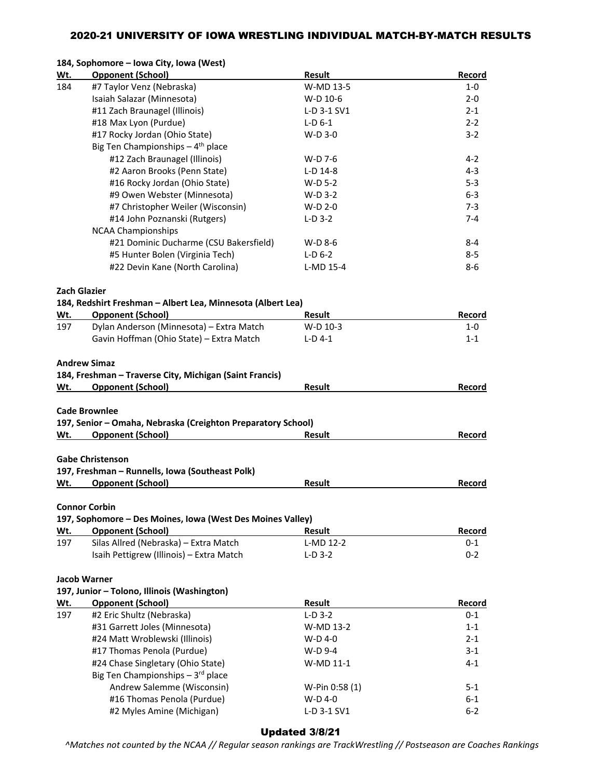### **184, Sophomore – Iowa City, Iowa (West)**

| Wt. | <b>Opponent (School)</b>                                                               | <b>Result</b>  | Record  |
|-----|----------------------------------------------------------------------------------------|----------------|---------|
| 184 | #7 Taylor Venz (Nebraska)                                                              | W-MD 13-5      | $1-0$   |
|     | Isaiah Salazar (Minnesota)                                                             | W-D 10-6       | $2 - 0$ |
|     | #11 Zach Braunagel (Illinois)                                                          | L-D 3-1 SV1    | $2 - 1$ |
|     | #18 Max Lyon (Purdue)                                                                  | $L-D$ 6-1      | $2 - 2$ |
|     | #17 Rocky Jordan (Ohio State)                                                          | $W-D$ 3-0      | $3-2$   |
|     | Big Ten Championships $-4$ <sup>th</sup> place                                         |                |         |
|     | #12 Zach Braunagel (Illinois)                                                          | W-D 7-6        | 4-2     |
|     | #2 Aaron Brooks (Penn State)                                                           | $L-D$ 14-8     | $4 - 3$ |
|     | #16 Rocky Jordan (Ohio State)                                                          | W-D 5-2        | $5 - 3$ |
|     | #9 Owen Webster (Minnesota)                                                            | $W-D$ 3-2      | $6 - 3$ |
|     | #7 Christopher Weiler (Wisconsin)                                                      | $W-D 2-0$      | $7 - 3$ |
|     | #14 John Poznanski (Rutgers)                                                           | $L-D$ 3-2      | $7 - 4$ |
|     | <b>NCAA Championships</b>                                                              |                |         |
|     | #21 Dominic Ducharme (CSU Bakersfield)                                                 | W-D 8-6        | 8-4     |
|     | #5 Hunter Bolen (Virginia Tech)                                                        | $L-D$ 6-2      | $8 - 5$ |
|     | #22 Devin Kane (North Carolina)                                                        | L-MD 15-4      | 8-6     |
|     | <b>Zach Glazier</b>                                                                    |                |         |
|     | 184, Redshirt Freshman - Albert Lea, Minnesota (Albert Lea)                            |                |         |
| Wt. | <b>Opponent (School)</b>                                                               | Result         | Record  |
| 197 | Dylan Anderson (Minnesota) - Extra Match                                               | W-D 10-3       | 1-0     |
|     | Gavin Hoffman (Ohio State) - Extra Match                                               | $L-D$ 4-1      | $1 - 1$ |
|     | <b>Andrew Simaz</b>                                                                    |                |         |
|     | 184, Freshman - Traverse City, Michigan (Saint Francis)                                |                |         |
| Wt. | <b>Opponent (School)</b>                                                               | <b>Result</b>  | Record  |
|     |                                                                                        |                |         |
|     | <b>Cade Brownlee</b>                                                                   |                |         |
|     | 197, Senior - Omaha, Nebraska (Creighton Preparatory School)                           |                |         |
| Wt. | <b>Opponent (School)</b>                                                               | Result         | Record  |
|     |                                                                                        |                |         |
|     | <b>Gabe Christenson</b>                                                                |                |         |
|     | 197, Freshman - Runnells, Iowa (Southeast Polk)                                        |                |         |
| Wt. | <b>Opponent (School)</b>                                                               | <b>Result</b>  | Record  |
|     |                                                                                        |                |         |
|     | <b>Connor Corbin</b>                                                                   |                |         |
| Wt. | 197, Sophomore - Des Moines, Iowa (West Des Moines Valley)<br><b>Opponent (School)</b> | <b>Result</b>  | Record  |
|     | Silas Allred (Nebraska) - Extra Match                                                  |                |         |
| 197 |                                                                                        | L-MD 12-2      | $0 - 1$ |
|     | Isaih Pettigrew (Illinois) - Extra Match                                               | $L-D$ 3-2      | $0 - 2$ |
|     | <b>Jacob Warner</b>                                                                    |                |         |
|     | 197, Junior - Tolono, Illinois (Washington)                                            |                |         |
| Wt. | <b>Opponent (School)</b>                                                               | Result         | Record  |
| 197 | #2 Eric Shultz (Nebraska)                                                              | $L-D$ 3-2      | $0 - 1$ |
|     | #31 Garrett Joles (Minnesota)                                                          | W-MD 13-2      | $1 - 1$ |
|     | #24 Matt Wroblewski (Illinois)                                                         | W-D 4-0        | $2 - 1$ |
|     | #17 Thomas Penola (Purdue)                                                             | W-D 9-4        | $3 - 1$ |
|     | #24 Chase Singletary (Ohio State)                                                      | W-MD 11-1      | $4 - 1$ |
|     | Big Ten Championships - 3rd place                                                      |                |         |
|     | Andrew Salemme (Wisconsin)                                                             | W-Pin 0:58 (1) | $5 - 1$ |
|     | #16 Thomas Penola (Purdue)                                                             | W-D 4-0        | $6 - 1$ |
|     | #2 Myles Amine (Michigan)                                                              | L-D 3-1 SV1    | $6 - 2$ |
|     |                                                                                        |                |         |

## Updated 3/8/21